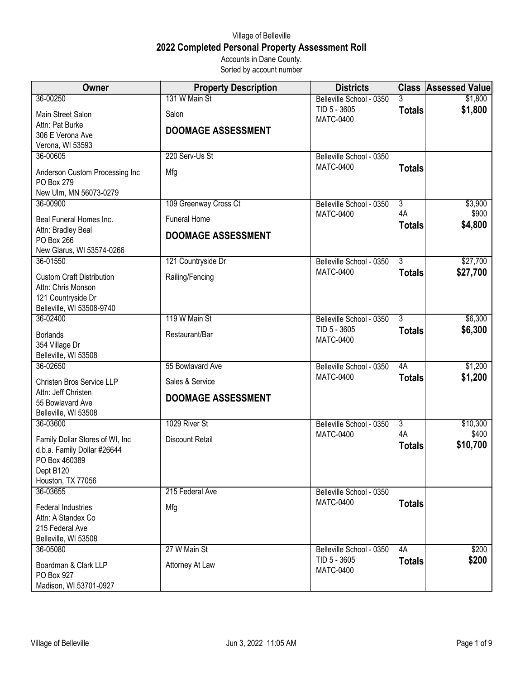## Village of Belleville **2022 Completed Personal Property Assessment Roll** Accounts in Dane County.

Sorted by account number

| Owner                                           | <b>Property Description</b> | <b>Districts</b>                             | <b>Class</b>   | <b>Assessed Value</b> |
|-------------------------------------------------|-----------------------------|----------------------------------------------|----------------|-----------------------|
| 36-00250                                        | 131 W Main St               | Belleville School - 0350                     |                | \$1,800               |
| Main Street Salon                               | Salon                       | TID 5 - 3605<br><b>MATC-0400</b>             | <b>Totals</b>  | \$1,800               |
| Attn: Pat Burke                                 | <b>DOOMAGE ASSESSMENT</b>   |                                              |                |                       |
| 306 E Verona Ave                                |                             |                                              |                |                       |
| Verona, WI 53593<br>36-00605                    | 220 Serv-Us St              | Belleville School - 0350                     |                |                       |
|                                                 |                             | <b>MATC-0400</b>                             | <b>Totals</b>  |                       |
| Anderson Custom Processing Inc<br>PO Box 279    | Mfg                         |                                              |                |                       |
| New Ulm, MN 56073-0279                          |                             |                                              |                |                       |
| 36-00900                                        | 109 Greenway Cross Ct       | Belleville School - 0350                     | $\overline{3}$ | \$3,900               |
| Beal Funeral Homes Inc.                         | <b>Funeral Home</b>         | <b>MATC-0400</b>                             | 4A             | \$900                 |
| Attn: Bradley Beal                              |                             |                                              | <b>Totals</b>  | \$4,800               |
| PO Box 266                                      | <b>DOOMAGE ASSESSMENT</b>   |                                              |                |                       |
| New Glarus, WI 53574-0266                       |                             |                                              |                |                       |
| 36-01550                                        | 121 Countryside Dr          | Belleville School - 0350<br><b>MATC-0400</b> | $\overline{3}$ | \$27,700              |
| <b>Custom Craft Distribution</b>                | Railing/Fencing             |                                              | <b>Totals</b>  | \$27,700              |
| Attn: Chris Monson                              |                             |                                              |                |                       |
| 121 Countryside Dr<br>Belleville, WI 53508-9740 |                             |                                              |                |                       |
| 36-02400                                        | 119 W Main St               | Belleville School - 0350                     | $\overline{3}$ | \$6,300               |
| <b>Borlands</b>                                 | Restaurant/Bar              | TID 5 - 3605                                 | <b>Totals</b>  | \$6,300               |
| 354 Village Dr                                  |                             | <b>MATC-0400</b>                             |                |                       |
| Belleville, WI 53508                            |                             |                                              |                |                       |
| 36-02650                                        | 55 Bowlavard Ave            | Belleville School - 0350                     | 4A             | \$1,200               |
| Christen Bros Service LLP                       | Sales & Service             | <b>MATC-0400</b>                             | <b>Totals</b>  | \$1,200               |
| Attn: Jeff Christen                             | <b>DOOMAGE ASSESSMENT</b>   |                                              |                |                       |
| 55 Bowlavard Ave                                |                             |                                              |                |                       |
| Belleville, WI 53508<br>36-03600                | 1029 River St               | Belleville School - 0350                     | $\overline{3}$ | \$10,300              |
|                                                 |                             | <b>MATC-0400</b>                             | 4A             | \$400                 |
| Family Dollar Stores of WI, Inc                 | <b>Discount Retail</b>      |                                              | <b>Totals</b>  | \$10,700              |
| d.b.a. Family Dollar #26644<br>PO Box 460389    |                             |                                              |                |                       |
| Dept B120                                       |                             |                                              |                |                       |
| Houston, TX 77056                               |                             |                                              |                |                       |
| 36-03655                                        | 215 Federal Ave             | Belleville School - 0350                     |                |                       |
| <b>Federal Industries</b>                       | Mfg                         | <b>MATC-0400</b>                             | <b>Totals</b>  |                       |
| Attn: A Standex Co                              |                             |                                              |                |                       |
| 215 Federal Ave                                 |                             |                                              |                |                       |
| Belleville, WI 53508<br>36-05080                | 27 W Main St                | Belleville School - 0350                     | 4A             | \$200                 |
|                                                 |                             | TID 5 - 3605                                 | <b>Totals</b>  | \$200                 |
| Boardman & Clark LLP<br>PO Box 927              | Attorney At Law             | <b>MATC-0400</b>                             |                |                       |
| Madison, WI 53701-0927                          |                             |                                              |                |                       |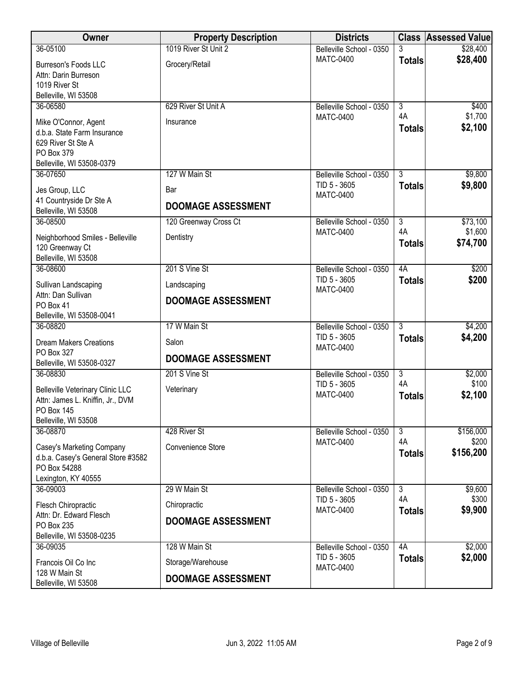| Owner                                             | <b>Property Description</b> | <b>Districts</b>                         |                      | <b>Class Assessed Value</b> |
|---------------------------------------------------|-----------------------------|------------------------------------------|----------------------|-----------------------------|
| 36-05100                                          | 1019 River St Unit 2        | Belleville School - 0350                 | 3                    | \$28,400                    |
| Burreson's Foods LLC<br>Attn: Darin Burreson      | Grocery/Retail              | <b>MATC-0400</b>                         | <b>Totals</b>        | \$28,400                    |
| 1019 River St                                     |                             |                                          |                      |                             |
| Belleville, WI 53508<br>36-06580                  | 629 River St Unit A         | Belleville School - 0350                 | $\overline{3}$       | \$400                       |
|                                                   |                             | <b>MATC-0400</b>                         | 4A                   | \$1,700                     |
| Mike O'Connor, Agent                              | Insurance                   |                                          | <b>Totals</b>        | \$2,100                     |
| d.b.a. State Farm Insurance<br>629 River St Ste A |                             |                                          |                      |                             |
| PO Box 379                                        |                             |                                          |                      |                             |
| Belleville, WI 53508-0379                         |                             |                                          |                      |                             |
| 36-07650                                          | 127 W Main St               | Belleville School - 0350                 | 3                    | \$9,800                     |
| Jes Group, LLC                                    | Bar                         | TID 5 - 3605                             | <b>Totals</b>        | \$9,800                     |
| 41 Countryside Dr Ste A                           | <b>DOOMAGE ASSESSMENT</b>   | <b>MATC-0400</b>                         |                      |                             |
| Belleville, WI 53508                              |                             |                                          |                      |                             |
| 36-08500                                          | 120 Greenway Cross Ct       | Belleville School - 0350                 | $\overline{3}$<br>4A | \$73,100<br>\$1,600         |
| Neighborhood Smiles - Belleville                  | Dentistry                   | <b>MATC-0400</b>                         | <b>Totals</b>        | \$74,700                    |
| 120 Greenway Ct                                   |                             |                                          |                      |                             |
| Belleville, WI 53508<br>36-08600                  | 201 S Vine St               | Belleville School - 0350                 | 4A                   | \$200                       |
|                                                   |                             | TID 5 - 3605                             | <b>Totals</b>        | \$200                       |
| Sullivan Landscaping<br>Attn: Dan Sullivan        | Landscaping                 | <b>MATC-0400</b>                         |                      |                             |
| PO Box 41                                         | <b>DOOMAGE ASSESSMENT</b>   |                                          |                      |                             |
| Belleville, WI 53508-0041                         |                             |                                          |                      |                             |
| 36-08820                                          | 17 W Main St                | Belleville School - 0350                 | $\overline{3}$       | \$4,200                     |
| <b>Dream Makers Creations</b>                     | Salon                       | TID 5 - 3605                             | <b>Totals</b>        | \$4,200                     |
| PO Box 327                                        | <b>DOOMAGE ASSESSMENT</b>   | <b>MATC-0400</b>                         |                      |                             |
| Belleville, WI 53508-0327                         |                             |                                          |                      |                             |
| 36-08830                                          | 201 S Vine St               | Belleville School - 0350<br>TID 5 - 3605 | $\overline{3}$<br>4A | \$2,000<br>\$100            |
| <b>Belleville Veterinary Clinic LLC</b>           | Veterinary                  | <b>MATC-0400</b>                         | <b>Totals</b>        | \$2,100                     |
| Attn: James L. Kniffin, Jr., DVM<br>PO Box 145    |                             |                                          |                      |                             |
| Belleville, WI 53508                              |                             |                                          |                      |                             |
| 36-08870                                          | 428 River St                | Belleville School - 0350                 | دی                   | \$156,000                   |
| Casey's Marketing Company                         | Convenience Store           | <b>MATC-0400</b>                         | 4A                   | \$200                       |
| d.b.a. Casey's General Store #3582                |                             |                                          | <b>Totals</b>        | \$156,200                   |
| PO Box 54288                                      |                             |                                          |                      |                             |
| Lexington, KY 40555                               |                             |                                          |                      |                             |
| 36-09003                                          | 29 W Main St                | Belleville School - 0350<br>TID 5 - 3605 | $\overline{3}$<br>4A | \$9,600<br>\$300            |
| Flesch Chiropractic                               | Chiropractic                | <b>MATC-0400</b>                         | <b>Totals</b>        | \$9,900                     |
| Attn: Dr. Edward Flesch<br>PO Box 235             | <b>DOOMAGE ASSESSMENT</b>   |                                          |                      |                             |
| Belleville, WI 53508-0235                         |                             |                                          |                      |                             |
| 36-09035                                          | 128 W Main St               | Belleville School - 0350                 | 4A                   | \$2,000                     |
| Francois Oil Co Inc                               | Storage/Warehouse           | TID 5 - 3605<br><b>MATC-0400</b>         | <b>Totals</b>        | \$2,000                     |
| 128 W Main St<br>Belleville, WI 53508             | <b>DOOMAGE ASSESSMENT</b>   |                                          |                      |                             |
|                                                   |                             |                                          |                      |                             |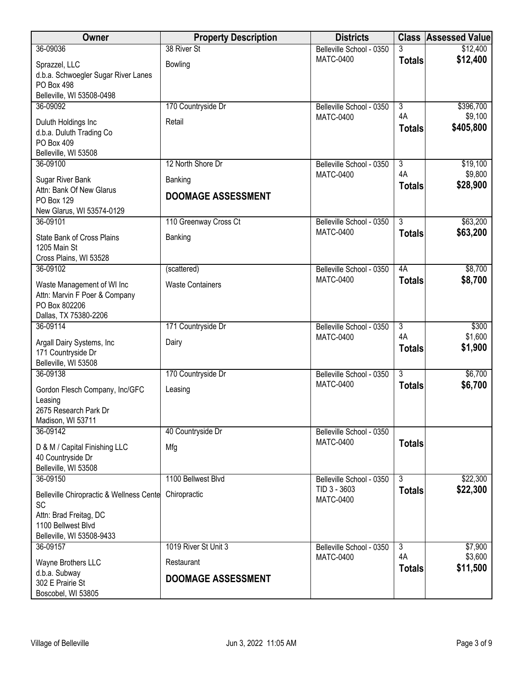| Owner                                                                      | <b>Property Description</b> | <b>Districts</b>                             |                      | <b>Class Assessed Value</b> |
|----------------------------------------------------------------------------|-----------------------------|----------------------------------------------|----------------------|-----------------------------|
| 36-09036                                                                   | 38 River St                 | Belleville School - 0350                     | 3                    | \$12,400                    |
| Sprazzel, LLC                                                              | <b>Bowling</b>              | <b>MATC-0400</b>                             | <b>Totals</b>        | \$12,400                    |
| d.b.a. Schwoegler Sugar River Lanes                                        |                             |                                              |                      |                             |
| <b>PO Box 498</b><br>Belleville, WI 53508-0498                             |                             |                                              |                      |                             |
| 36-09092                                                                   | 170 Countryside Dr          | Belleville School - 0350                     | $\overline{3}$       | \$396,700                   |
| Duluth Holdings Inc                                                        | Retail                      | <b>MATC-0400</b>                             | 4A                   | \$9,100                     |
| d.b.a. Duluth Trading Co                                                   |                             |                                              | <b>Totals</b>        | \$405,800                   |
| PO Box 409                                                                 |                             |                                              |                      |                             |
| Belleville, WI 53508                                                       |                             |                                              |                      |                             |
| 36-09100                                                                   | 12 North Shore Dr           | Belleville School - 0350<br><b>MATC-0400</b> | $\overline{3}$<br>4A | \$19,100<br>\$9,800         |
| Sugar River Bank                                                           | Banking                     |                                              | <b>Totals</b>        | \$28,900                    |
| Attn: Bank Of New Glarus<br><b>PO Box 129</b><br>New Glarus, WI 53574-0129 | <b>DOOMAGE ASSESSMENT</b>   |                                              |                      |                             |
| 36-09101                                                                   | 110 Greenway Cross Ct       | Belleville School - 0350                     | $\overline{3}$       | \$63,200                    |
| State Bank of Cross Plains                                                 | Banking                     | <b>MATC-0400</b>                             | <b>Totals</b>        | \$63,200                    |
| 1205 Main St                                                               |                             |                                              |                      |                             |
| Cross Plains, WI 53528                                                     |                             |                                              |                      |                             |
| 36-09102                                                                   | (scattered)                 | Belleville School - 0350<br><b>MATC-0400</b> | 4A                   | \$8,700                     |
| Waste Management of WI Inc                                                 | <b>Waste Containers</b>     |                                              | <b>Totals</b>        | \$8,700                     |
| Attn: Marvin F Poer & Company<br>PO Box 802206                             |                             |                                              |                      |                             |
| Dallas, TX 75380-2206                                                      |                             |                                              |                      |                             |
| 36-09114                                                                   | 171 Countryside Dr          | Belleville School - 0350                     | $\overline{3}$       | \$300                       |
| Argall Dairy Systems, Inc                                                  | Dairy                       | <b>MATC-0400</b>                             | 4A                   | \$1,600                     |
| 171 Countryside Dr                                                         |                             |                                              | <b>Totals</b>        | \$1,900                     |
| Belleville, WI 53508<br>36-09138                                           |                             |                                              | $\overline{3}$       | \$6,700                     |
|                                                                            | 170 Countryside Dr          | Belleville School - 0350<br><b>MATC-0400</b> | <b>Totals</b>        | \$6,700                     |
| Gordon Flesch Company, Inc/GFC                                             | Leasing                     |                                              |                      |                             |
| Leasing<br>2675 Research Park Dr                                           |                             |                                              |                      |                             |
| Madison, WI 53711                                                          |                             |                                              |                      |                             |
| 36-09142                                                                   | 40 Countryside Dr           | Belleville School - 0350                     |                      |                             |
| D & M / Capital Finishing LLC                                              | Mfg                         | <b>MATC-0400</b>                             | <b>Totals</b>        |                             |
| 40 Countryside Dr                                                          |                             |                                              |                      |                             |
| Belleville, WI 53508<br>36-09150                                           | 1100 Bellwest Blvd          | Belleville School - 0350                     | $\overline{3}$       | \$22,300                    |
|                                                                            |                             | TID 3 - 3603                                 | <b>Totals</b>        | \$22,300                    |
| Belleville Chiropractic & Wellness Cente<br><b>SC</b>                      | Chiropractic                | <b>MATC-0400</b>                             |                      |                             |
| Attn: Brad Freitag, DC                                                     |                             |                                              |                      |                             |
| 1100 Bellwest Blvd                                                         |                             |                                              |                      |                             |
| Belleville, WI 53508-9433                                                  | 1019 River St Unit 3        |                                              | $\overline{3}$       |                             |
| 36-09157                                                                   |                             | Belleville School - 0350<br><b>MATC-0400</b> | 4A                   | \$7,900<br>\$3,600          |
| Wayne Brothers LLC                                                         | Restaurant                  |                                              | <b>Totals</b>        | \$11,500                    |
| d.b.a. Subway<br>302 E Prairie St                                          | <b>DOOMAGE ASSESSMENT</b>   |                                              |                      |                             |
| Boscobel, WI 53805                                                         |                             |                                              |                      |                             |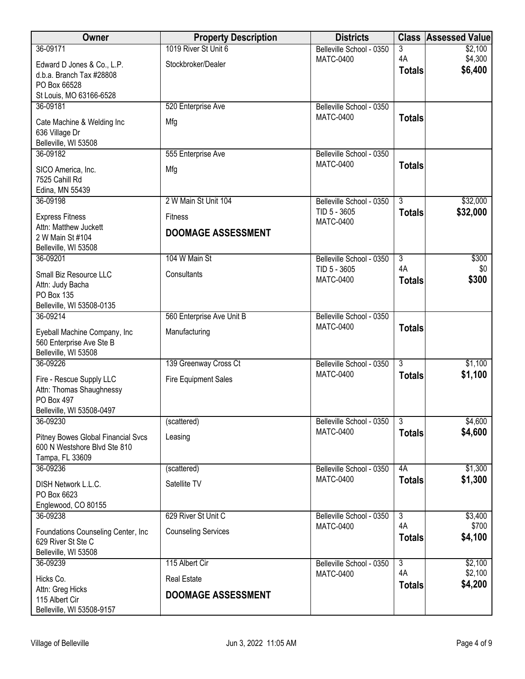| Owner                                       | <b>Property Description</b> | <b>Districts</b>                             |                      | <b>Class Assessed Value</b> |
|---------------------------------------------|-----------------------------|----------------------------------------------|----------------------|-----------------------------|
| 36-09171                                    | 1019 River St Unit 6        | Belleville School - 0350                     | 3                    | \$2,100                     |
| Edward D Jones & Co., L.P.                  | Stockbroker/Dealer          | <b>MATC-0400</b>                             | 4A<br><b>Totals</b>  | \$4,300<br>\$6,400          |
| d.b.a. Branch Tax #28808                    |                             |                                              |                      |                             |
| PO Box 66528<br>St Louis, MO 63166-6528     |                             |                                              |                      |                             |
| 36-09181                                    | 520 Enterprise Ave          | Belleville School - 0350                     |                      |                             |
| Cate Machine & Welding Inc                  | Mfg                         | <b>MATC-0400</b>                             | <b>Totals</b>        |                             |
| 636 Village Dr                              |                             |                                              |                      |                             |
| Belleville, WI 53508                        |                             |                                              |                      |                             |
| 36-09182                                    | 555 Enterprise Ave          | Belleville School - 0350<br><b>MATC-0400</b> |                      |                             |
| SICO America, Inc.                          | Mfg                         |                                              | <b>Totals</b>        |                             |
| 7525 Cahill Rd<br>Edina, MN 55439           |                             |                                              |                      |                             |
| 36-09198                                    | 2 W Main St Unit 104        | Belleville School - 0350                     | $\overline{3}$       | \$32,000                    |
| <b>Express Fitness</b>                      | <b>Fitness</b>              | TID 5 - 3605                                 | <b>Totals</b>        | \$32,000                    |
| Attn: Matthew Juckett                       |                             | <b>MATC-0400</b>                             |                      |                             |
| 2 W Main St #104                            | <b>DOOMAGE ASSESSMENT</b>   |                                              |                      |                             |
| Belleville, WI 53508                        |                             |                                              |                      |                             |
| 36-09201                                    | 104 W Main St               | Belleville School - 0350<br>TID 5 - 3605     | $\overline{3}$<br>4A | \$300<br>\$0                |
| Small Biz Resource LLC                      | Consultants                 | <b>MATC-0400</b>                             | <b>Totals</b>        | \$300                       |
| Attn: Judy Bacha<br>PO Box 135              |                             |                                              |                      |                             |
| Belleville, WI 53508-0135                   |                             |                                              |                      |                             |
| 36-09214                                    | 560 Enterprise Ave Unit B   | Belleville School - 0350                     |                      |                             |
| Eyeball Machine Company, Inc                | Manufacturing               | <b>MATC-0400</b>                             | <b>Totals</b>        |                             |
| 560 Enterprise Ave Ste B                    |                             |                                              |                      |                             |
| Belleville, WI 53508                        |                             |                                              |                      |                             |
| 36-09226                                    | 139 Greenway Cross Ct       | Belleville School - 0350                     | $\overline{3}$       | \$1,100                     |
| Fire - Rescue Supply LLC                    | <b>Fire Equipment Sales</b> | <b>MATC-0400</b>                             | <b>Totals</b>        | \$1,100                     |
| Attn: Thomas Shaughnessy<br>PO Box 497      |                             |                                              |                      |                             |
| Belleville, WI 53508-0497                   |                             |                                              |                      |                             |
| 36-09230                                    | (scattered)                 | Belleville School - 0350                     | $\overline{3}$       | \$4,600                     |
| <b>Pitney Bowes Global Financial Svcs</b>   | Leasing                     | <b>MATC-0400</b>                             | <b>Totals</b>        | \$4,600                     |
| 600 N Westshore Blvd Ste 810                |                             |                                              |                      |                             |
| Tampa, FL 33609                             |                             |                                              |                      |                             |
| 36-09236                                    | (scattered)                 | Belleville School - 0350<br><b>MATC-0400</b> | 4A<br><b>Totals</b>  | \$1,300<br>\$1,300          |
| DISH Network L.L.C.                         | Satellite TV                |                                              |                      |                             |
| PO Box 6623<br>Englewood, CO 80155          |                             |                                              |                      |                             |
| 36-09238                                    | 629 River St Unit C         | Belleville School - 0350                     | $\overline{3}$       | \$3,400                     |
| Foundations Counseling Center, Inc.         | <b>Counseling Services</b>  | <b>MATC-0400</b>                             | 4A                   | \$700                       |
| 629 River St Ste C                          |                             |                                              | <b>Totals</b>        | \$4,100                     |
| Belleville, WI 53508                        |                             |                                              |                      |                             |
| 36-09239                                    | 115 Albert Cir              | Belleville School - 0350                     | $\overline{3}$       | \$2,100                     |
| Hicks Co.                                   | <b>Real Estate</b>          | <b>MATC-0400</b>                             | 4A<br><b>Totals</b>  | \$2,100<br>\$4,200          |
| Attn: Greg Hicks                            | <b>DOOMAGE ASSESSMENT</b>   |                                              |                      |                             |
| 115 Albert Cir<br>Belleville, WI 53508-9157 |                             |                                              |                      |                             |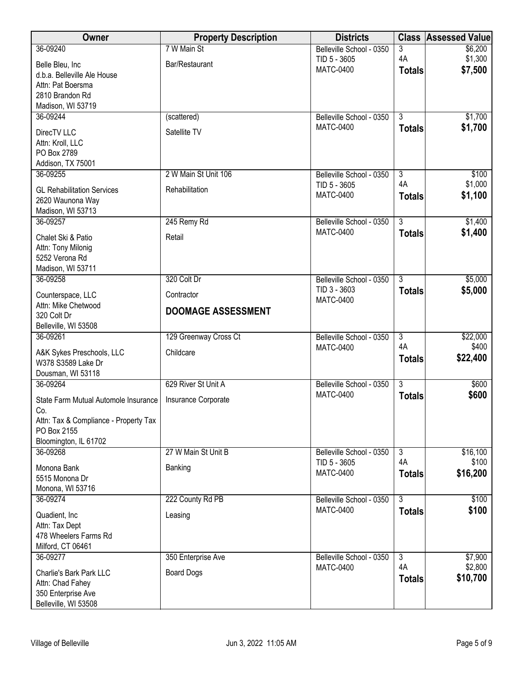| Owner                                 | <b>Property Description</b> | <b>Districts</b>                 |                     | <b>Class Assessed Value</b> |
|---------------------------------------|-----------------------------|----------------------------------|---------------------|-----------------------------|
| 36-09240                              | 7 W Main St                 | Belleville School - 0350         | 3                   | \$6,200                     |
| Belle Bleu, Inc                       | Bar/Restaurant              | TID 5 - 3605<br><b>MATC-0400</b> | 4A                  | \$1,300                     |
| d.b.a. Belleville Ale House           |                             |                                  | <b>Totals</b>       | \$7,500                     |
| Attn: Pat Boersma                     |                             |                                  |                     |                             |
| 2810 Brandon Rd<br>Madison, WI 53719  |                             |                                  |                     |                             |
| 36-09244                              | (scattered)                 | Belleville School - 0350         | $\overline{3}$      | \$1,700                     |
|                                       |                             | <b>MATC-0400</b>                 | <b>Totals</b>       | \$1,700                     |
| DirecTV LLC                           | Satellite TV                |                                  |                     |                             |
| Attn: Kroll, LLC<br>PO Box 2789       |                             |                                  |                     |                             |
| Addison, TX 75001                     |                             |                                  |                     |                             |
| 36-09255                              | 2 W Main St Unit 106        | Belleville School - 0350         | $\overline{3}$      | \$100                       |
| <b>GL Rehabilitation Services</b>     | Rehabilitation              | TID 5 - 3605                     | 4A                  | \$1,000                     |
| 2620 Waunona Way                      |                             | <b>MATC-0400</b>                 | <b>Totals</b>       | \$1,100                     |
| Madison, WI 53713                     |                             |                                  |                     |                             |
| 36-09257                              | 245 Remy Rd                 | Belleville School - 0350         | $\overline{3}$      | \$1,400                     |
| Chalet Ski & Patio                    | Retail                      | <b>MATC-0400</b>                 | <b>Totals</b>       | \$1,400                     |
| Attn: Tony Milonig                    |                             |                                  |                     |                             |
| 5252 Verona Rd                        |                             |                                  |                     |                             |
| Madison, WI 53711<br>36-09258         | 320 Colt Dr                 | Belleville School - 0350         | $\overline{3}$      | \$5,000                     |
|                                       |                             | TID 3 - 3603                     | <b>Totals</b>       | \$5,000                     |
| Counterspace, LLC                     | Contractor                  | <b>MATC-0400</b>                 |                     |                             |
| Attn: Mike Chetwood<br>320 Colt Dr    | <b>DOOMAGE ASSESSMENT</b>   |                                  |                     |                             |
| Belleville, WI 53508                  |                             |                                  |                     |                             |
| 36-09261                              | 129 Greenway Cross Ct       | Belleville School - 0350         | $\overline{3}$      | \$22,000                    |
| A&K Sykes Preschools, LLC             | Childcare                   | <b>MATC-0400</b>                 | 4A                  | \$400                       |
| W378 S3589 Lake Dr                    |                             |                                  | <b>Totals</b>       | \$22,400                    |
| Dousman, WI 53118                     |                             |                                  |                     |                             |
| 36-09264                              | 629 River St Unit A         | Belleville School - 0350         | $\overline{3}$      | \$600                       |
| State Farm Mutual Automole Insurance  | Insurance Corporate         | <b>MATC-0400</b>                 | <b>Totals</b>       | \$600                       |
| Co.                                   |                             |                                  |                     |                             |
| Attn: Tax & Compliance - Property Tax |                             |                                  |                     |                             |
| PO Box 2155<br>Bloomington, IL 61702  |                             |                                  |                     |                             |
| 36-09268                              | 27 W Main St Unit B         | Belleville School - 0350         | 3                   | \$16,100                    |
|                                       |                             | TID 5 - 3605                     | 4A                  | \$100                       |
| Monona Bank<br>5515 Monona Dr         | Banking                     | <b>MATC-0400</b>                 | <b>Totals</b>       | \$16,200                    |
| Monona, WI 53716                      |                             |                                  |                     |                             |
| 36-09274                              | 222 County Rd PB            | Belleville School - 0350         | $\overline{3}$      | \$100                       |
| Quadient, Inc.                        | Leasing                     | <b>MATC-0400</b>                 | <b>Totals</b>       | \$100                       |
| Attn: Tax Dept                        |                             |                                  |                     |                             |
| 478 Wheelers Farms Rd                 |                             |                                  |                     |                             |
| Milford, CT 06461                     |                             |                                  |                     |                             |
| 36-09277                              | 350 Enterprise Ave          | Belleville School - 0350         | $\overline{3}$      | \$7,900                     |
| Charlie's Bark Park LLC               | <b>Board Dogs</b>           | <b>MATC-0400</b>                 | 4A<br><b>Totals</b> | \$2,800<br>\$10,700         |
| Attn: Chad Fahey                      |                             |                                  |                     |                             |
| 350 Enterprise Ave                    |                             |                                  |                     |                             |
| Belleville, WI 53508                  |                             |                                  |                     |                             |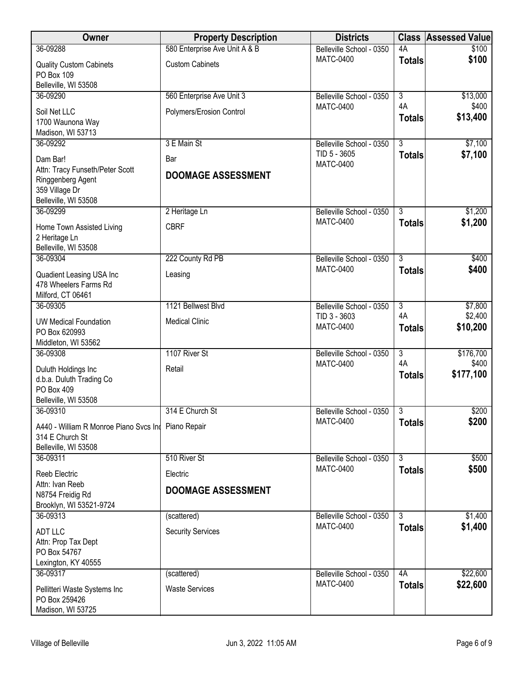| Owner                                                                                                      | <b>Property Description</b>          | <b>Districts</b>                             | <b>Class</b>              | <b>Assessed Value</b> |
|------------------------------------------------------------------------------------------------------------|--------------------------------------|----------------------------------------------|---------------------------|-----------------------|
| 36-09288                                                                                                   | 580 Enterprise Ave Unit A & B        | Belleville School - 0350                     | 4A                        | \$100                 |
| <b>Quality Custom Cabinets</b><br>PO Box 109<br>Belleville, WI 53508                                       | <b>Custom Cabinets</b>               | <b>MATC-0400</b>                             | <b>Totals</b>             | \$100                 |
| 36-09290                                                                                                   | 560 Enterprise Ave Unit 3            | Belleville School - 0350                     | $\overline{3}$            | \$13,000              |
| Soil Net LLC<br>1700 Waunona Way<br>Madison, WI 53713                                                      | Polymers/Erosion Control             | <b>MATC-0400</b>                             | 4A<br><b>Totals</b>       | \$400<br>\$13,400     |
| 36-09292                                                                                                   | 3 E Main St                          | Belleville School - 0350                     | $\overline{\overline{3}}$ | \$7,100               |
| Dam Bar!<br>Attn: Tracy Funseth/Peter Scott<br>Ringgenberg Agent<br>359 Village Dr<br>Belleville, WI 53508 | Bar<br><b>DOOMAGE ASSESSMENT</b>     | TID 5 - 3605<br><b>MATC-0400</b>             | <b>Totals</b>             | \$7,100               |
| 36-09299                                                                                                   | 2 Heritage Ln                        | Belleville School - 0350                     | $\overline{3}$            | \$1,200               |
| Home Town Assisted Living<br>2 Heritage Ln<br>Belleville, WI 53508                                         | <b>CBRF</b>                          | <b>MATC-0400</b>                             | <b>Totals</b>             | \$1,200               |
| 36-09304                                                                                                   | 222 County Rd PB                     | Belleville School - 0350                     | $\overline{3}$            | \$400                 |
| Quadient Leasing USA Inc<br>478 Wheelers Farms Rd<br>Milford, CT 06461                                     | Leasing                              | <b>MATC-0400</b>                             | <b>Totals</b>             | \$400                 |
| 36-09305                                                                                                   | 1121 Bellwest Blvd                   | Belleville School - 0350                     | $\overline{3}$            | \$7,800               |
| <b>UW Medical Foundation</b><br>PO Box 620993<br>Middleton, WI 53562                                       | <b>Medical Clinic</b>                | TID 3 - 3603<br><b>MATC-0400</b>             | 4A<br><b>Totals</b>       | \$2,400<br>\$10,200   |
| 36-09308                                                                                                   | 1107 River St                        | Belleville School - 0350                     | $\overline{3}$            | \$176,700             |
| Duluth Holdings Inc<br>d.b.a. Duluth Trading Co<br>PO Box 409<br>Belleville, WI 53508                      | Retail                               | <b>MATC-0400</b>                             | 4A<br><b>Totals</b>       | \$400<br>\$177,100    |
| 36-09310                                                                                                   | 314 E Church St                      | Belleville School - 0350                     | $\overline{3}$            | \$200                 |
| A440 - William R Monroe Piano Svcs Ind<br>314 E Church St<br>Belleville, WI 53508                          | Piano Repair                         | <b>MATC-0400</b>                             | <b>Totals</b>             | \$200                 |
| 36-09311                                                                                                   | 510 River St                         | Belleville School - 0350                     | $\overline{3}$            | \$500                 |
| <b>Reeb Electric</b>                                                                                       | Electric                             | <b>MATC-0400</b>                             | <b>Totals</b>             | \$500                 |
| Attn: Ivan Reeb<br>N8754 Freidig Rd<br>Brooklyn, WI 53521-9724                                             | <b>DOOMAGE ASSESSMENT</b>            |                                              |                           |                       |
| 36-09313                                                                                                   | (scattered)                          | Belleville School - 0350                     | 3                         | \$1,400               |
| <b>ADT LLC</b><br>Attn: Prop Tax Dept<br>PO Box 54767<br>Lexington, KY 40555                               | <b>Security Services</b>             | <b>MATC-0400</b>                             | <b>Totals</b>             | \$1,400               |
| 36-09317<br>Pellitteri Waste Systems Inc<br>PO Box 259426<br>Madison, WI 53725                             | (scattered)<br><b>Waste Services</b> | Belleville School - 0350<br><b>MATC-0400</b> | 4A<br><b>Totals</b>       | \$22,600<br>\$22,600  |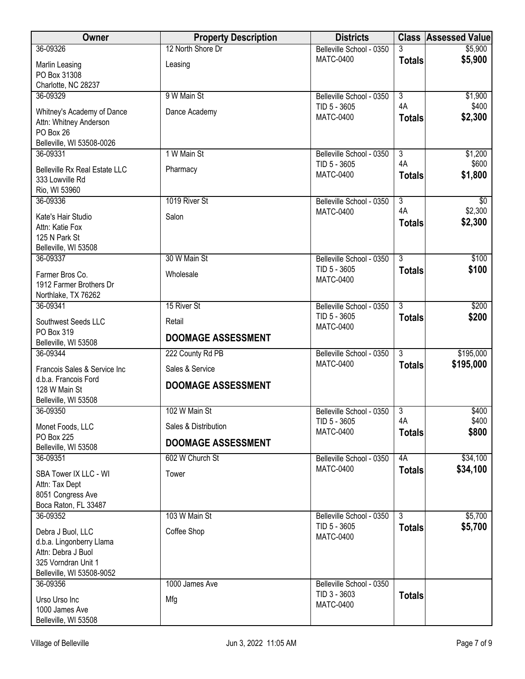| 3<br>36-09326<br>\$5,900<br><b>MATC-0400</b><br><b>Totals</b><br>Marlin Leasing<br>Leasing<br>PO Box 31308<br>Charlotte, NC 28237<br>9 W Main St<br>$\overline{3}$<br>\$1,900<br>36-09329<br>Belleville School - 0350<br>4A<br>\$400<br>TID 5 - 3605<br>Whitney's Academy of Dance<br>Dance Academy<br><b>MATC-0400</b><br><b>Totals</b><br>Attn: Whitney Anderson<br>PO Box 26<br>Belleville, WI 53508-0026<br>1 W Main St<br>$\overline{3}$<br>36-09331<br>Belleville School - 0350<br>4A<br>\$600<br>TID 5 - 3605<br><b>Belleville Rx Real Estate LLC</b><br>Pharmacy<br><b>MATC-0400</b><br>\$1,800<br><b>Totals</b><br>333 Lowville Rd<br>Rio, WI 53960<br>1019 River St<br>$\overline{3}$<br>36-09336<br>Belleville School - 0350<br>\$0<br>\$2,300<br>4A<br><b>MATC-0400</b><br>Salon<br>Kate's Hair Studio<br>\$2,300<br><b>Totals</b><br>Attn: Katie Fox<br>125 N Park St<br>Belleville, WI 53508<br>30 W Main St<br>$\overline{3}$<br>36-09337<br>Belleville School - 0350<br>\$100<br>TID 5 - 3605<br><b>Totals</b><br>Farmer Bros Co.<br>Wholesale<br><b>MATC-0400</b><br>1912 Farmer Brothers Dr<br>Northlake, TX 76262<br>15 River St<br>$\overline{3}$<br>\$200<br>36-09341<br>Belleville School - 0350<br>TID 5 - 3605<br>\$200<br><b>Totals</b><br>Southwest Seeds LLC<br>Retail<br><b>MATC-0400</b><br>PO Box 319<br><b>DOOMAGE ASSESSMENT</b><br>Belleville, WI 53508<br>$\overline{3}$<br>222 County Rd PB<br>36-09344<br>Belleville School - 0350<br><b>MATC-0400</b><br><b>Totals</b><br>Sales & Service<br>Francois Sales & Service Inc<br>d.b.a. Francois Ford<br><b>DOOMAGE ASSESSMENT</b><br>128 W Main St<br>Belleville, WI 53508<br>\$400<br>36-09350<br>102 W Main St<br>$\overline{3}$<br>Belleville School - 0350<br>4A<br>\$400<br>TID 5 - 3605<br>Sales & Distribution<br>Monet Foods, LLC<br><b>MATC-0400</b><br><b>Totals</b><br>PO Box 225<br><b>DOOMAGE ASSESSMENT</b><br>Belleville, WI 53508<br>602 W Church St<br>4A<br>36-09351<br>Belleville School - 0350<br><b>MATC-0400</b><br><b>Totals</b> | Owner                 | <b>Property Description</b> | <b>Districts</b>         | <b>Class Assessed Value</b> |
|-------------------------------------------------------------------------------------------------------------------------------------------------------------------------------------------------------------------------------------------------------------------------------------------------------------------------------------------------------------------------------------------------------------------------------------------------------------------------------------------------------------------------------------------------------------------------------------------------------------------------------------------------------------------------------------------------------------------------------------------------------------------------------------------------------------------------------------------------------------------------------------------------------------------------------------------------------------------------------------------------------------------------------------------------------------------------------------------------------------------------------------------------------------------------------------------------------------------------------------------------------------------------------------------------------------------------------------------------------------------------------------------------------------------------------------------------------------------------------------------------------------------------------------------------------------------------------------------------------------------------------------------------------------------------------------------------------------------------------------------------------------------------------------------------------------------------------------------------------------------------------------------------------------------------------------------------------------------------------------------------------------------------------------------|-----------------------|-----------------------------|--------------------------|-----------------------------|
|                                                                                                                                                                                                                                                                                                                                                                                                                                                                                                                                                                                                                                                                                                                                                                                                                                                                                                                                                                                                                                                                                                                                                                                                                                                                                                                                                                                                                                                                                                                                                                                                                                                                                                                                                                                                                                                                                                                                                                                                                                           |                       | 12 North Shore Dr           | Belleville School - 0350 | \$5,900                     |
|                                                                                                                                                                                                                                                                                                                                                                                                                                                                                                                                                                                                                                                                                                                                                                                                                                                                                                                                                                                                                                                                                                                                                                                                                                                                                                                                                                                                                                                                                                                                                                                                                                                                                                                                                                                                                                                                                                                                                                                                                                           |                       |                             |                          |                             |
|                                                                                                                                                                                                                                                                                                                                                                                                                                                                                                                                                                                                                                                                                                                                                                                                                                                                                                                                                                                                                                                                                                                                                                                                                                                                                                                                                                                                                                                                                                                                                                                                                                                                                                                                                                                                                                                                                                                                                                                                                                           |                       |                             |                          |                             |
|                                                                                                                                                                                                                                                                                                                                                                                                                                                                                                                                                                                                                                                                                                                                                                                                                                                                                                                                                                                                                                                                                                                                                                                                                                                                                                                                                                                                                                                                                                                                                                                                                                                                                                                                                                                                                                                                                                                                                                                                                                           |                       |                             |                          |                             |
|                                                                                                                                                                                                                                                                                                                                                                                                                                                                                                                                                                                                                                                                                                                                                                                                                                                                                                                                                                                                                                                                                                                                                                                                                                                                                                                                                                                                                                                                                                                                                                                                                                                                                                                                                                                                                                                                                                                                                                                                                                           |                       |                             |                          |                             |
|                                                                                                                                                                                                                                                                                                                                                                                                                                                                                                                                                                                                                                                                                                                                                                                                                                                                                                                                                                                                                                                                                                                                                                                                                                                                                                                                                                                                                                                                                                                                                                                                                                                                                                                                                                                                                                                                                                                                                                                                                                           |                       |                             |                          | \$2,300                     |
|                                                                                                                                                                                                                                                                                                                                                                                                                                                                                                                                                                                                                                                                                                                                                                                                                                                                                                                                                                                                                                                                                                                                                                                                                                                                                                                                                                                                                                                                                                                                                                                                                                                                                                                                                                                                                                                                                                                                                                                                                                           |                       |                             |                          |                             |
|                                                                                                                                                                                                                                                                                                                                                                                                                                                                                                                                                                                                                                                                                                                                                                                                                                                                                                                                                                                                                                                                                                                                                                                                                                                                                                                                                                                                                                                                                                                                                                                                                                                                                                                                                                                                                                                                                                                                                                                                                                           |                       |                             |                          |                             |
|                                                                                                                                                                                                                                                                                                                                                                                                                                                                                                                                                                                                                                                                                                                                                                                                                                                                                                                                                                                                                                                                                                                                                                                                                                                                                                                                                                                                                                                                                                                                                                                                                                                                                                                                                                                                                                                                                                                                                                                                                                           |                       |                             |                          | \$1,200                     |
|                                                                                                                                                                                                                                                                                                                                                                                                                                                                                                                                                                                                                                                                                                                                                                                                                                                                                                                                                                                                                                                                                                                                                                                                                                                                                                                                                                                                                                                                                                                                                                                                                                                                                                                                                                                                                                                                                                                                                                                                                                           |                       |                             |                          |                             |
|                                                                                                                                                                                                                                                                                                                                                                                                                                                                                                                                                                                                                                                                                                                                                                                                                                                                                                                                                                                                                                                                                                                                                                                                                                                                                                                                                                                                                                                                                                                                                                                                                                                                                                                                                                                                                                                                                                                                                                                                                                           |                       |                             |                          |                             |
|                                                                                                                                                                                                                                                                                                                                                                                                                                                                                                                                                                                                                                                                                                                                                                                                                                                                                                                                                                                                                                                                                                                                                                                                                                                                                                                                                                                                                                                                                                                                                                                                                                                                                                                                                                                                                                                                                                                                                                                                                                           |                       |                             |                          |                             |
|                                                                                                                                                                                                                                                                                                                                                                                                                                                                                                                                                                                                                                                                                                                                                                                                                                                                                                                                                                                                                                                                                                                                                                                                                                                                                                                                                                                                                                                                                                                                                                                                                                                                                                                                                                                                                                                                                                                                                                                                                                           |                       |                             |                          |                             |
|                                                                                                                                                                                                                                                                                                                                                                                                                                                                                                                                                                                                                                                                                                                                                                                                                                                                                                                                                                                                                                                                                                                                                                                                                                                                                                                                                                                                                                                                                                                                                                                                                                                                                                                                                                                                                                                                                                                                                                                                                                           |                       |                             |                          |                             |
|                                                                                                                                                                                                                                                                                                                                                                                                                                                                                                                                                                                                                                                                                                                                                                                                                                                                                                                                                                                                                                                                                                                                                                                                                                                                                                                                                                                                                                                                                                                                                                                                                                                                                                                                                                                                                                                                                                                                                                                                                                           |                       |                             |                          |                             |
|                                                                                                                                                                                                                                                                                                                                                                                                                                                                                                                                                                                                                                                                                                                                                                                                                                                                                                                                                                                                                                                                                                                                                                                                                                                                                                                                                                                                                                                                                                                                                                                                                                                                                                                                                                                                                                                                                                                                                                                                                                           |                       |                             |                          |                             |
|                                                                                                                                                                                                                                                                                                                                                                                                                                                                                                                                                                                                                                                                                                                                                                                                                                                                                                                                                                                                                                                                                                                                                                                                                                                                                                                                                                                                                                                                                                                                                                                                                                                                                                                                                                                                                                                                                                                                                                                                                                           |                       |                             |                          | \$100                       |
|                                                                                                                                                                                                                                                                                                                                                                                                                                                                                                                                                                                                                                                                                                                                                                                                                                                                                                                                                                                                                                                                                                                                                                                                                                                                                                                                                                                                                                                                                                                                                                                                                                                                                                                                                                                                                                                                                                                                                                                                                                           |                       |                             |                          |                             |
|                                                                                                                                                                                                                                                                                                                                                                                                                                                                                                                                                                                                                                                                                                                                                                                                                                                                                                                                                                                                                                                                                                                                                                                                                                                                                                                                                                                                                                                                                                                                                                                                                                                                                                                                                                                                                                                                                                                                                                                                                                           |                       |                             |                          |                             |
|                                                                                                                                                                                                                                                                                                                                                                                                                                                                                                                                                                                                                                                                                                                                                                                                                                                                                                                                                                                                                                                                                                                                                                                                                                                                                                                                                                                                                                                                                                                                                                                                                                                                                                                                                                                                                                                                                                                                                                                                                                           |                       |                             |                          |                             |
|                                                                                                                                                                                                                                                                                                                                                                                                                                                                                                                                                                                                                                                                                                                                                                                                                                                                                                                                                                                                                                                                                                                                                                                                                                                                                                                                                                                                                                                                                                                                                                                                                                                                                                                                                                                                                                                                                                                                                                                                                                           |                       |                             |                          |                             |
|                                                                                                                                                                                                                                                                                                                                                                                                                                                                                                                                                                                                                                                                                                                                                                                                                                                                                                                                                                                                                                                                                                                                                                                                                                                                                                                                                                                                                                                                                                                                                                                                                                                                                                                                                                                                                                                                                                                                                                                                                                           |                       |                             |                          |                             |
|                                                                                                                                                                                                                                                                                                                                                                                                                                                                                                                                                                                                                                                                                                                                                                                                                                                                                                                                                                                                                                                                                                                                                                                                                                                                                                                                                                                                                                                                                                                                                                                                                                                                                                                                                                                                                                                                                                                                                                                                                                           |                       |                             |                          |                             |
|                                                                                                                                                                                                                                                                                                                                                                                                                                                                                                                                                                                                                                                                                                                                                                                                                                                                                                                                                                                                                                                                                                                                                                                                                                                                                                                                                                                                                                                                                                                                                                                                                                                                                                                                                                                                                                                                                                                                                                                                                                           |                       |                             |                          | \$195,000                   |
|                                                                                                                                                                                                                                                                                                                                                                                                                                                                                                                                                                                                                                                                                                                                                                                                                                                                                                                                                                                                                                                                                                                                                                                                                                                                                                                                                                                                                                                                                                                                                                                                                                                                                                                                                                                                                                                                                                                                                                                                                                           |                       |                             |                          | \$195,000                   |
|                                                                                                                                                                                                                                                                                                                                                                                                                                                                                                                                                                                                                                                                                                                                                                                                                                                                                                                                                                                                                                                                                                                                                                                                                                                                                                                                                                                                                                                                                                                                                                                                                                                                                                                                                                                                                                                                                                                                                                                                                                           |                       |                             |                          |                             |
|                                                                                                                                                                                                                                                                                                                                                                                                                                                                                                                                                                                                                                                                                                                                                                                                                                                                                                                                                                                                                                                                                                                                                                                                                                                                                                                                                                                                                                                                                                                                                                                                                                                                                                                                                                                                                                                                                                                                                                                                                                           |                       |                             |                          |                             |
|                                                                                                                                                                                                                                                                                                                                                                                                                                                                                                                                                                                                                                                                                                                                                                                                                                                                                                                                                                                                                                                                                                                                                                                                                                                                                                                                                                                                                                                                                                                                                                                                                                                                                                                                                                                                                                                                                                                                                                                                                                           |                       |                             |                          |                             |
|                                                                                                                                                                                                                                                                                                                                                                                                                                                                                                                                                                                                                                                                                                                                                                                                                                                                                                                                                                                                                                                                                                                                                                                                                                                                                                                                                                                                                                                                                                                                                                                                                                                                                                                                                                                                                                                                                                                                                                                                                                           |                       |                             |                          |                             |
|                                                                                                                                                                                                                                                                                                                                                                                                                                                                                                                                                                                                                                                                                                                                                                                                                                                                                                                                                                                                                                                                                                                                                                                                                                                                                                                                                                                                                                                                                                                                                                                                                                                                                                                                                                                                                                                                                                                                                                                                                                           |                       |                             |                          | \$800                       |
|                                                                                                                                                                                                                                                                                                                                                                                                                                                                                                                                                                                                                                                                                                                                                                                                                                                                                                                                                                                                                                                                                                                                                                                                                                                                                                                                                                                                                                                                                                                                                                                                                                                                                                                                                                                                                                                                                                                                                                                                                                           |                       |                             |                          |                             |
|                                                                                                                                                                                                                                                                                                                                                                                                                                                                                                                                                                                                                                                                                                                                                                                                                                                                                                                                                                                                                                                                                                                                                                                                                                                                                                                                                                                                                                                                                                                                                                                                                                                                                                                                                                                                                                                                                                                                                                                                                                           |                       |                             |                          | \$34,100                    |
|                                                                                                                                                                                                                                                                                                                                                                                                                                                                                                                                                                                                                                                                                                                                                                                                                                                                                                                                                                                                                                                                                                                                                                                                                                                                                                                                                                                                                                                                                                                                                                                                                                                                                                                                                                                                                                                                                                                                                                                                                                           | SBA Tower IX LLC - WI | Tower                       |                          | \$34,100                    |
| Attn: Tax Dept                                                                                                                                                                                                                                                                                                                                                                                                                                                                                                                                                                                                                                                                                                                                                                                                                                                                                                                                                                                                                                                                                                                                                                                                                                                                                                                                                                                                                                                                                                                                                                                                                                                                                                                                                                                                                                                                                                                                                                                                                            |                       |                             |                          |                             |
| 8051 Congress Ave                                                                                                                                                                                                                                                                                                                                                                                                                                                                                                                                                                                                                                                                                                                                                                                                                                                                                                                                                                                                                                                                                                                                                                                                                                                                                                                                                                                                                                                                                                                                                                                                                                                                                                                                                                                                                                                                                                                                                                                                                         |                       |                             |                          |                             |
| Boca Raton, FL 33487<br>103 W Main St<br>36-09352<br>3<br>Belleville School - 0350                                                                                                                                                                                                                                                                                                                                                                                                                                                                                                                                                                                                                                                                                                                                                                                                                                                                                                                                                                                                                                                                                                                                                                                                                                                                                                                                                                                                                                                                                                                                                                                                                                                                                                                                                                                                                                                                                                                                                        |                       |                             |                          | \$5,700                     |
| TID 5 - 3605<br><b>Totals</b>                                                                                                                                                                                                                                                                                                                                                                                                                                                                                                                                                                                                                                                                                                                                                                                                                                                                                                                                                                                                                                                                                                                                                                                                                                                                                                                                                                                                                                                                                                                                                                                                                                                                                                                                                                                                                                                                                                                                                                                                             |                       |                             |                          | \$5,700                     |
| Coffee Shop<br>Debra J Buol, LLC<br><b>MATC-0400</b><br>d.b.a. Lingonberry Llama                                                                                                                                                                                                                                                                                                                                                                                                                                                                                                                                                                                                                                                                                                                                                                                                                                                                                                                                                                                                                                                                                                                                                                                                                                                                                                                                                                                                                                                                                                                                                                                                                                                                                                                                                                                                                                                                                                                                                          |                       |                             |                          |                             |
| Attn: Debra J Buol                                                                                                                                                                                                                                                                                                                                                                                                                                                                                                                                                                                                                                                                                                                                                                                                                                                                                                                                                                                                                                                                                                                                                                                                                                                                                                                                                                                                                                                                                                                                                                                                                                                                                                                                                                                                                                                                                                                                                                                                                        |                       |                             |                          |                             |
| 325 Vorndran Unit 1                                                                                                                                                                                                                                                                                                                                                                                                                                                                                                                                                                                                                                                                                                                                                                                                                                                                                                                                                                                                                                                                                                                                                                                                                                                                                                                                                                                                                                                                                                                                                                                                                                                                                                                                                                                                                                                                                                                                                                                                                       |                       |                             |                          |                             |
| Belleville, WI 53508-9052                                                                                                                                                                                                                                                                                                                                                                                                                                                                                                                                                                                                                                                                                                                                                                                                                                                                                                                                                                                                                                                                                                                                                                                                                                                                                                                                                                                                                                                                                                                                                                                                                                                                                                                                                                                                                                                                                                                                                                                                                 |                       |                             |                          |                             |
| 36-09356<br>1000 James Ave<br>Belleville School - 0350<br>TID 3 - 3603<br><b>Totals</b>                                                                                                                                                                                                                                                                                                                                                                                                                                                                                                                                                                                                                                                                                                                                                                                                                                                                                                                                                                                                                                                                                                                                                                                                                                                                                                                                                                                                                                                                                                                                                                                                                                                                                                                                                                                                                                                                                                                                                   |                       |                             |                          |                             |
| Urso Urso Inc<br>Mfg<br><b>MATC-0400</b>                                                                                                                                                                                                                                                                                                                                                                                                                                                                                                                                                                                                                                                                                                                                                                                                                                                                                                                                                                                                                                                                                                                                                                                                                                                                                                                                                                                                                                                                                                                                                                                                                                                                                                                                                                                                                                                                                                                                                                                                  |                       |                             |                          |                             |
| 1000 James Ave<br>Belleville, WI 53508                                                                                                                                                                                                                                                                                                                                                                                                                                                                                                                                                                                                                                                                                                                                                                                                                                                                                                                                                                                                                                                                                                                                                                                                                                                                                                                                                                                                                                                                                                                                                                                                                                                                                                                                                                                                                                                                                                                                                                                                    |                       |                             |                          |                             |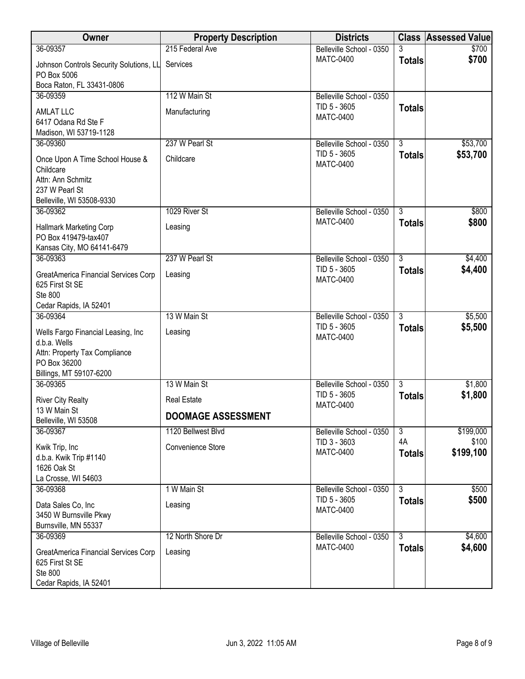| Owner                                                                                                                          | <b>Property Description</b>                     | <b>Districts</b>                                             |                     | <b>Class Assessed Value</b> |
|--------------------------------------------------------------------------------------------------------------------------------|-------------------------------------------------|--------------------------------------------------------------|---------------------|-----------------------------|
| 36-09357                                                                                                                       | 215 Federal Ave                                 | Belleville School - 0350                                     | 3                   | \$700                       |
| Johnson Controls Security Solutions, LL<br>PO Box 5006                                                                         | Services                                        | <b>MATC-0400</b>                                             | <b>Totals</b>       | \$700                       |
| Boca Raton, FL 33431-0806                                                                                                      | 112 W Main St                                   |                                                              |                     |                             |
| 36-09359<br><b>AMLAT LLC</b><br>6417 Odana Rd Ste F<br>Madison, WI 53719-1128                                                  | Manufacturing                                   | Belleville School - 0350<br>TID 5 - 3605<br><b>MATC-0400</b> | <b>Totals</b>       |                             |
| 36-09360                                                                                                                       | 237 W Pearl St                                  | Belleville School - 0350                                     | $\overline{3}$      | \$53,700                    |
| Once Upon A Time School House &<br>Childcare<br>Attn: Ann Schmitz<br>237 W Pearl St<br>Belleville, WI 53508-9330               | Childcare                                       | TID 5 - 3605<br><b>MATC-0400</b>                             | <b>Totals</b>       | \$53,700                    |
| 36-09362                                                                                                                       | 1029 River St                                   | Belleville School - 0350                                     | $\overline{3}$      | \$800                       |
| <b>Hallmark Marketing Corp</b><br>PO Box 419479-tax407<br>Kansas City, MO 64141-6479                                           | Leasing                                         | <b>MATC-0400</b>                                             | <b>Totals</b>       | \$800                       |
| 36-09363                                                                                                                       | 237 W Pearl St                                  | Belleville School - 0350                                     | $\overline{3}$      | \$4,400                     |
| GreatAmerica Financial Services Corp<br>625 First St SE<br>Ste 800                                                             | Leasing                                         | TID 5 - 3605<br><b>MATC-0400</b>                             | <b>Totals</b>       | \$4,400                     |
| Cedar Rapids, IA 52401<br>36-09364                                                                                             | 13 W Main St                                    | Belleville School - 0350                                     | $\overline{3}$      | \$5,500                     |
| Wells Fargo Financial Leasing, Inc<br>d.b.a. Wells<br>Attn: Property Tax Compliance<br>PO Box 36200<br>Billings, MT 59107-6200 | Leasing                                         | TID 5 - 3605<br><b>MATC-0400</b>                             | <b>Totals</b>       | \$5,500                     |
| 36-09365                                                                                                                       | 13 W Main St                                    | Belleville School - 0350                                     | $\overline{3}$      | \$1,800                     |
| <b>River City Realty</b><br>13 W Main St<br>Belleville, WI 53508                                                               | <b>Real Estate</b><br><b>DOOMAGE ASSESSMENT</b> | TID 5 - 3605<br><b>MATC-0400</b>                             | <b>Totals</b>       | \$1,800                     |
| 36-09367                                                                                                                       | 1120 Bellwest Blvd                              | Belleville School - 0350                                     | $\overline{3}$      | \$199,000                   |
| Kwik Trip, Inc<br>d.b.a. Kwik Trip #1140<br>1626 Oak St<br>La Crosse, WI 54603                                                 | Convenience Store                               | TID 3 - 3603<br><b>MATC-0400</b>                             | 4A<br><b>Totals</b> | \$100<br>\$199,100          |
| 36-09368                                                                                                                       | 1 W Main St                                     | Belleville School - 0350                                     | $\overline{3}$      | \$500                       |
| Data Sales Co, Inc<br>3450 W Burnsville Pkwy<br>Burnsville, MN 55337                                                           | Leasing                                         | TID 5 - 3605<br><b>MATC-0400</b>                             | <b>Totals</b>       | \$500                       |
| 36-09369                                                                                                                       | 12 North Shore Dr                               | Belleville School - 0350                                     | $\overline{3}$      | \$4,600                     |
| GreatAmerica Financial Services Corp<br>625 First St SE<br>Ste 800<br>Cedar Rapids, IA 52401                                   | Leasing                                         | <b>MATC-0400</b>                                             | <b>Totals</b>       | \$4,600                     |